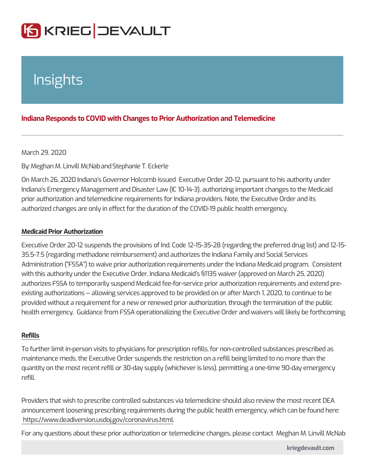# Insights

## Indiana Responds to COVID with Changes to Prior Authorization and Tele

#### March 29, 2020

### ByMeghan M. Linvilla Most Nearlie T. Eckerle

On March 26, 2020 Indiana s Governor Holcomb issued Executive Order 20-12, pursuant to his authority under the Indiana s Emergency Management and Disaster Law (IC 10-14-3), authorizing important changes to the Medical cha prior authorization and telemedicine requirements for Indiana providers. Note, th authorized changes are only in effect for the duration of the COVID-19 public hea

### Medicaid Prior Authorization

Executive Order 20-12 suspends the provisions of Ind. Code 12-15-35-28 (regard 35.5-7.5 (regarding methadone reimbursement) and authorizes the Indiana Family Administration ( FSSA ) to waive prior authorization requirements under the Indiana Medical program. Alterator with this authority under the Executive Order, Indiana Medicaid s §1135 waiver ( authorizes FSSA to temporarily suspend Medicaid fee-for-service prior authorization requirements and extend pr existing authorizations -- allowing services approved to be provided on or after N provided without a requirement for a new or renewed prior authorization, through health emergency. Guidance from FSSA operationalizing the Executive Order an

### Refills

To further limit in-person visits to physicians for prescription refills, for non-con maintenance meds, the Executive Order suspends the restriction on a refill being quantity on the most recent refill or 30-day supply (whichever is less), permitting refill.

Providers that wish to prescribe controlled substances via telemedicine should a announcement loosening prescribing requirements during the public health emerg https://www.deadiversion.usdoj.gov/coronavirus.html .

For any questions about these prior authorization or telemedicine changes, pleas